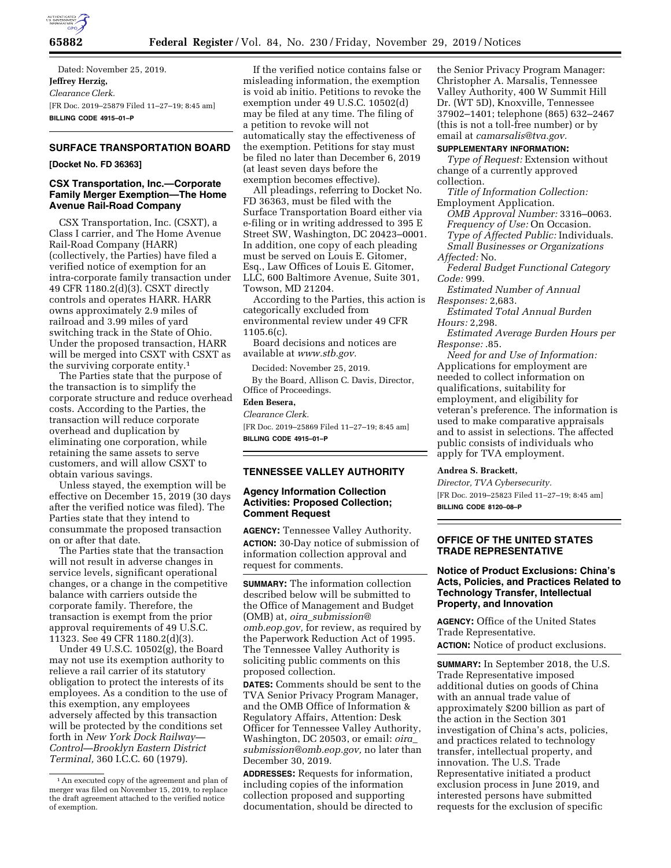

Dated: November 25, 2019. **Jeffrey Herzig,**  *Clearance Clerk.*  [FR Doc. 2019–25879 Filed 11–27–19; 8:45 am] **BILLING CODE 4915–01–P** 

# **SURFACE TRANSPORTATION BOARD**

#### **[Docket No. FD 36363]**

## **CSX Transportation, Inc.—Corporate Family Merger Exemption—The Home Avenue Rail-Road Company**

CSX Transportation, Inc. (CSXT), a Class I carrier, and The Home Avenue Rail-Road Company (HARR) (collectively, the Parties) have filed a verified notice of exemption for an intra-corporate family transaction under 49 CFR 1180.2(d)(3). CSXT directly controls and operates HARR. HARR owns approximately 2.9 miles of railroad and 3.99 miles of yard switching track in the State of Ohio. Under the proposed transaction, HARR will be merged into CSXT with CSXT as the surviving corporate entity.1

The Parties state that the purpose of the transaction is to simplify the corporate structure and reduce overhead costs. According to the Parties, the transaction will reduce corporate overhead and duplication by eliminating one corporation, while retaining the same assets to serve customers, and will allow CSXT to obtain various savings.

Unless stayed, the exemption will be effective on December 15, 2019 (30 days after the verified notice was filed). The Parties state that they intend to consummate the proposed transaction on or after that date.

The Parties state that the transaction will not result in adverse changes in service levels, significant operational changes, or a change in the competitive balance with carriers outside the corporate family. Therefore, the transaction is exempt from the prior approval requirements of 49 U.S.C. 11323. See 49 CFR 1180.2(d)(3).

Under 49 U.S.C. 10502(g), the Board may not use its exemption authority to relieve a rail carrier of its statutory obligation to protect the interests of its employees. As a condition to the use of this exemption, any employees adversely affected by this transaction will be protected by the conditions set forth in *New York Dock Railway— Control—Brooklyn Eastern District Terminal,* 360 I.C.C. 60 (1979).

If the verified notice contains false or misleading information, the exemption is void ab initio. Petitions to revoke the exemption under 49 U.S.C. 10502(d) may be filed at any time. The filing of a petition to revoke will not automatically stay the effectiveness of the exemption. Petitions for stay must be filed no later than December 6, 2019 (at least seven days before the exemption becomes effective).

All pleadings, referring to Docket No. FD 36363, must be filed with the Surface Transportation Board either via e-filing or in writing addressed to 395 E Street SW, Washington, DC 20423–0001. In addition, one copy of each pleading must be served on Louis E. Gitomer, Esq., Law Offices of Louis E. Gitomer, LLC, 600 Baltimore Avenue, Suite 301, Towson, MD 21204.

According to the Parties, this action is categorically excluded from environmental review under 49 CFR 1105.6(c).

Board decisions and notices are available at *[www.stb.gov.](http://www.stb.gov)* 

Decided: November 25, 2019. By the Board, Allison C. Davis, Director, Office of Proceedings.

# **Eden Besera,**

*Clearance Clerk.*  [FR Doc. 2019–25869 Filed 11–27–19; 8:45 am] **BILLING CODE 4915–01–P** 

#### **TENNESSEE VALLEY AUTHORITY**

# **Agency Information Collection Activities: Proposed Collection; Comment Request**

**AGENCY:** Tennessee Valley Authority. **ACTION:** 30-Day notice of submission of information collection approval and request for comments.

**SUMMARY:** The information collection described below will be submitted to the Office of Management and Budget (OMB) at, *oira*\_*[submission@](mailto:oira_submission@omb.eop.gov) [omb.eop.gov,](mailto:oira_submission@omb.eop.gov)* for review, as required by the Paperwork Reduction Act of 1995. The Tennessee Valley Authority is soliciting public comments on this proposed collection.

**DATES:** Comments should be sent to the TVA Senior Privacy Program Manager, and the OMB Office of Information & Regulatory Affairs, Attention: Desk Officer for Tennessee Valley Authority, Washington, DC 20503, or email: *[oira](mailto:oira_submission@omb.eop.gov)*\_ *[submission@omb.eop.gov,](mailto:oira_submission@omb.eop.gov)* no later than December 30, 2019.

**ADDRESSES:** Requests for information, including copies of the information collection proposed and supporting documentation, should be directed to

the Senior Privacy Program Manager: Christopher A. Marsalis, Tennessee Valley Authority, 400 W Summit Hill Dr. (WT 5D), Knoxville, Tennessee 37902–1401; telephone (865) 632–2467 (this is not a toll-free number) or by email at *[camarsalis@tva.gov.](mailto:camarsalis@tva.gov)* 

#### **SUPPLEMENTARY INFORMATION:**

*Type of Request:* Extension without change of a currently approved collection.

*Title of Information Collection:*  Employment Application.

- *OMB Approval Number:* 3316–0063. *Frequency of Use:* On Occasion. *Type of Affected Public:* Individuals. *Small Businesses or Organizations Affected:* No.
- *Federal Budget Functional Category Code:* 999.

*Estimated Number of Annual Responses:* 2,683.

*Estimated Total Annual Burden Hours:* 2,298.

*Estimated Average Burden Hours per Response:* .85.

*Need for and Use of Information:*  Applications for employment are needed to collect information on qualifications, suitability for employment, and eligibility for veteran's preference. The information is used to make comparative appraisals and to assist in selections. The affected public consists of individuals who apply for TVA employment.

#### **Andrea S. Brackett,**

*Director, TVA Cybersecurity.*  [FR Doc. 2019–25823 Filed 11–27–19; 8:45 am] **BILLING CODE 8120–08–P** 

## **OFFICE OF THE UNITED STATES TRADE REPRESENTATIVE**

## **Notice of Product Exclusions: China's Acts, Policies, and Practices Related to Technology Transfer, Intellectual Property, and Innovation**

**AGENCY:** Office of the United States Trade Representative.

**ACTION:** Notice of product exclusions.

**SUMMARY:** In September 2018, the U.S. Trade Representative imposed additional duties on goods of China with an annual trade value of approximately \$200 billion as part of the action in the Section 301 investigation of China's acts, policies, and practices related to technology transfer, intellectual property, and innovation. The U.S. Trade Representative initiated a product exclusion process in June 2019, and interested persons have submitted requests for the exclusion of specific

<sup>1</sup>An executed copy of the agreement and plan of merger was filed on November 15, 2019, to replace the draft agreement attached to the verified notice of exemption.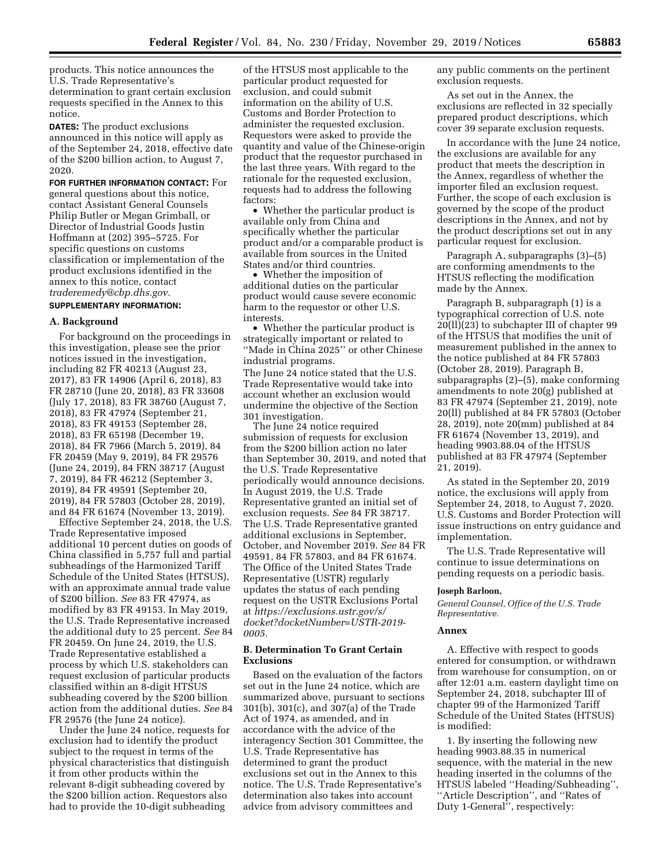products. This notice announces the U.S. Trade Representative's determination to grant certain exclusion requests specified in the Annex to this notice.

**DATES:** The product exclusions announced in this notice will apply as of the September 24, 2018, effective date of the \$200 billion action, to August 7, 2020.

**FOR FURTHER INFORMATION CONTACT:** For general questions about this notice, contact Assistant General Counsels Philip Butler or Megan Grimball, or Director of Industrial Goods Justin Hoffmann at (202) 395–5725. For specific questions on customs classification or implementation of the product exclusions identified in the annex to this notice, contact *[traderemedy@cbp.dhs.gov.](mailto:traderemedy@cbp.dhs.gov)* 

# **SUPPLEMENTARY INFORMATION:**

#### **A. Background**

For background on the proceedings in this investigation, please see the prior notices issued in the investigation, including 82 FR 40213 (August 23, 2017), 83 FR 14906 (April 6, 2018), 83 FR 28710 (June 20, 2018), 83 FR 33608 (July 17, 2018), 83 FR 38760 (August 7, 2018), 83 FR 47974 (September 21, 2018), 83 FR 49153 (September 28, 2018), 83 FR 65198 (December 19, 2018), 84 FR 7966 (March 5, 2019), 84 FR 20459 (May 9, 2019), 84 FR 29576 (June 24, 2019), 84 FRN 38717 (August 7, 2019), 84 FR 46212 (September 3, 2019), 84 FR 49591 (September 20, 2019), 84 FR 57803 (October 28, 2019), and 84 FR 61674 (November 13, 2019).

Effective September 24, 2018, the U.S. Trade Representative imposed additional 10 percent duties on goods of China classified in 5,757 full and partial subheadings of the Harmonized Tariff Schedule of the United States (HTSUS), with an approximate annual trade value of \$200 billion. *See* 83 FR 47974, as modified by 83 FR 49153. In May 2019, the U.S. Trade Representative increased the additional duty to 25 percent. *See* 84 FR 20459. On June 24, 2019, the U.S. Trade Representative established a process by which U.S. stakeholders can request exclusion of particular products classified within an 8-digit HTSUS subheading covered by the \$200 billion action from the additional duties. *See* 84 FR 29576 (the June 24 notice).

Under the June 24 notice, requests for exclusion had to identify the product subject to the request in terms of the physical characteristics that distinguish it from other products within the relevant 8-digit subheading covered by the \$200 billion action. Requestors also had to provide the 10-digit subheading

of the HTSUS most applicable to the particular product requested for exclusion, and could submit information on the ability of U.S. Customs and Border Protection to administer the requested exclusion. Requestors were asked to provide the quantity and value of the Chinese-origin product that the requestor purchased in the last three years. With regard to the rationale for the requested exclusion, requests had to address the following factors:

• Whether the particular product is available only from China and specifically whether the particular product and/or a comparable product is available from sources in the United States and/or third countries.

• Whether the imposition of additional duties on the particular product would cause severe economic harm to the requestor or other U.S. interests.

• Whether the particular product is strategically important or related to ''Made in China 2025'' or other Chinese industrial programs.

The June 24 notice stated that the U.S. Trade Representative would take into account whether an exclusion would undermine the objective of the Section 301 investigation.

The June 24 notice required submission of requests for exclusion from the \$200 billion action no later than September 30, 2019, and noted that the U.S. Trade Representative periodically would announce decisions. In August 2019, the U.S. Trade Representative granted an initial set of exclusion requests. *See* 84 FR 38717. The U.S. Trade Representative granted additional exclusions in September, October, and November 2019. *See* 84 FR 49591, 84 FR 57803, and 84 FR 61674. The Office of the United States Trade Representative (USTR) regularly updates the status of each pending request on the USTR Exclusions Portal at *[https://exclusions.ustr.gov/s/](https://exclusions.ustr.gov/s/docket?docketNumber=USTR-2019-0005) [docket?docketNumber=USTR-2019-](https://exclusions.ustr.gov/s/docket?docketNumber=USTR-2019-0005) [0005](https://exclusions.ustr.gov/s/docket?docketNumber=USTR-2019-0005)*.

# **B. Determination To Grant Certain Exclusions**

Based on the evaluation of the factors set out in the June 24 notice, which are summarized above, pursuant to sections 301(b), 301(c), and 307(a) of the Trade Act of 1974, as amended, and in accordance with the advice of the interagency Section 301 Committee, the U.S. Trade Representative has determined to grant the product exclusions set out in the Annex to this notice. The U.S. Trade Representative's determination also takes into account advice from advisory committees and

any public comments on the pertinent exclusion requests.

As set out in the Annex, the exclusions are reflected in 32 specially prepared product descriptions, which cover 39 separate exclusion requests.

In accordance with the June 24 notice, the exclusions are available for any product that meets the description in the Annex, regardless of whether the importer filed an exclusion request. Further, the scope of each exclusion is governed by the scope of the product descriptions in the Annex, and not by the product descriptions set out in any particular request for exclusion.

Paragraph A, subparagraphs (3)–(5) are conforming amendments to the HTSUS reflecting the modification made by the Annex.

Paragraph B, subparagraph (1) is a typographical correction of U.S. note 20(ll)(23) to subchapter III of chapter 99 of the HTSUS that modifies the unit of measurement published in the annex to the notice published at 84 FR 57803 (October 28, 2019). Paragraph B, subparagraphs (2)–(5), make conforming amendments to note 20(g) published at 83 FR 47974 (September 21, 2019), note 20(ll) published at 84 FR 57803 (October 28, 2019), note 20(mm) published at 84 FR 61674 (November 13, 2019), and heading 9903.88.04 of the HTSUS published at 83 FR 47974 (September 21, 2019).

As stated in the September 20, 2019 notice, the exclusions will apply from September 24, 2018, to August 7, 2020. U.S. Customs and Border Protection will issue instructions on entry guidance and implementation.

The U.S. Trade Representative will continue to issue determinations on pending requests on a periodic basis.

## **Joseph Barloon,**

*General Counsel, Office of the U.S. Trade Representative.* 

## **Annex**

A. Effective with respect to goods entered for consumption, or withdrawn from warehouse for consumption, on or after 12:01 a.m. eastern daylight time on September 24, 2018, subchapter III of chapter 99 of the Harmonized Tariff Schedule of the United States (HTSUS) is modified:

1. By inserting the following new heading 9903.88.35 in numerical sequence, with the material in the new heading inserted in the columns of the HTSUS labeled ''Heading/Subheading'', ''Article Description'', and ''Rates of Duty 1-General'', respectively: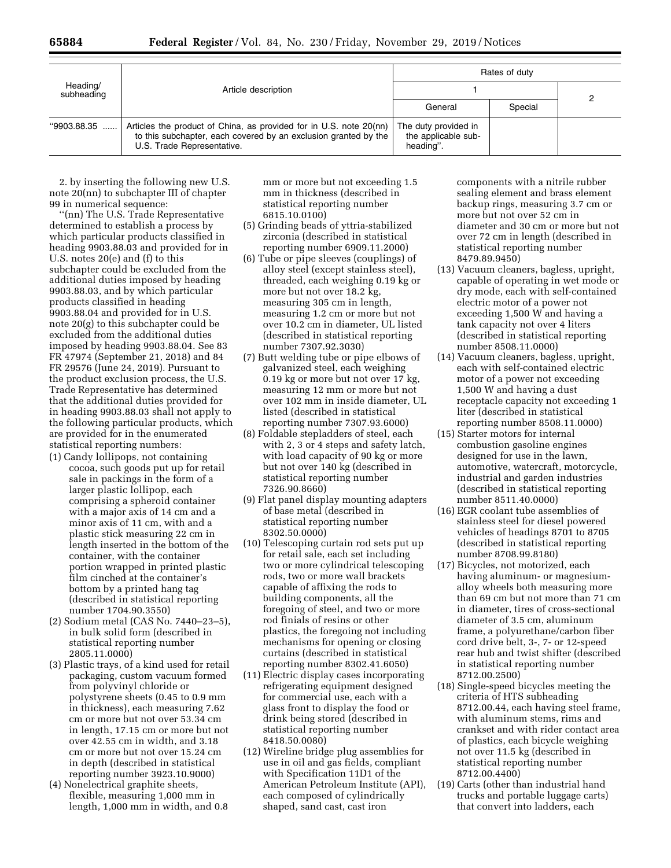| Heading/<br>subheading | Article description                                                                                                                                                 | Rates of duty                                            |         |  |
|------------------------|---------------------------------------------------------------------------------------------------------------------------------------------------------------------|----------------------------------------------------------|---------|--|
|                        |                                                                                                                                                                     |                                                          |         |  |
|                        |                                                                                                                                                                     | General                                                  | Special |  |
| $"9903.88.35$          | Articles the product of China, as provided for in U.S. note 20(nn)<br>to this subchapter, each covered by an exclusion granted by the<br>U.S. Trade Representative. | The duty provided in<br>the applicable sub-<br>heading". |         |  |

2. by inserting the following new U.S. note 20(nn) to subchapter III of chapter 99 in numerical sequence:

''(nn) The U.S. Trade Representative determined to establish a process by which particular products classified in heading 9903.88.03 and provided for in U.S. notes 20(e) and (f) to this subchapter could be excluded from the additional duties imposed by heading 9903.88.03, and by which particular products classified in heading 9903.88.04 and provided for in U.S. note 20(g) to this subchapter could be excluded from the additional duties imposed by heading 9903.88.04. See 83 FR 47974 (September 21, 2018) and 84 FR 29576 (June 24, 2019). Pursuant to the product exclusion process, the U.S. Trade Representative has determined that the additional duties provided for in heading 9903.88.03 shall not apply to the following particular products, which are provided for in the enumerated statistical reporting numbers:

- (1) Candy lollipops, not containing cocoa, such goods put up for retail sale in packings in the form of a larger plastic lollipop, each comprising a spheroid container with a major axis of 14 cm and a minor axis of 11 cm, with and a plastic stick measuring 22 cm in length inserted in the bottom of the container, with the container portion wrapped in printed plastic film cinched at the container's bottom by a printed hang tag (described in statistical reporting number 1704.90.3550)
- (2) Sodium metal (CAS No. 7440–23–5), in bulk solid form (described in statistical reporting number 2805.11.0000)
- (3) Plastic trays, of a kind used for retail packaging, custom vacuum formed from polyvinyl chloride or polystyrene sheets (0.45 to 0.9 mm in thickness), each measuring 7.62 cm or more but not over 53.34 cm in length, 17.15 cm or more but not over 42.55 cm in width, and 3.18 cm or more but not over 15.24 cm in depth (described in statistical reporting number 3923.10.9000)
- (4) Nonelectrical graphite sheets, flexible, measuring 1,000 mm in length, 1,000 mm in width, and 0.8

mm or more but not exceeding 1.5 mm in thickness (described in statistical reporting number 6815.10.0100)

- (5) Grinding beads of yttria-stabilized zirconia (described in statistical reporting number 6909.11.2000)
- (6) Tube or pipe sleeves (couplings) of alloy steel (except stainless steel), threaded, each weighing 0.19 kg or more but not over 18.2 kg, measuring 305 cm in length, measuring 1.2 cm or more but not over 10.2 cm in diameter, UL listed (described in statistical reporting number 7307.92.3030)
- (7) Butt welding tube or pipe elbows of galvanized steel, each weighing 0.19 kg or more but not over 17 kg, measuring 12 mm or more but not over 102 mm in inside diameter, UL listed (described in statistical reporting number 7307.93.6000)
- (8) Foldable stepladders of steel, each with 2, 3 or 4 steps and safety latch, with load capacity of 90 kg or more but not over 140 kg (described in statistical reporting number 7326.90.8660)
- (9) Flat panel display mounting adapters of base metal (described in statistical reporting number 8302.50.0000)
- (10) Telescoping curtain rod sets put up for retail sale, each set including two or more cylindrical telescoping rods, two or more wall brackets capable of affixing the rods to building components, all the foregoing of steel, and two or more rod finials of resins or other plastics, the foregoing not including mechanisms for opening or closing curtains (described in statistical reporting number 8302.41.6050)
- (11) Electric display cases incorporating refrigerating equipment designed for commercial use, each with a glass front to display the food or drink being stored (described in statistical reporting number 8418.50.0080)
- (12) Wireline bridge plug assemblies for use in oil and gas fields, compliant with Specification 11D1 of the American Petroleum Institute (API), each composed of cylindrically shaped, sand cast, cast iron

components with a nitrile rubber sealing element and brass element backup rings, measuring 3.7 cm or more but not over 52 cm in diameter and 30 cm or more but not over 72 cm in length (described in statistical reporting number 8479.89.9450)

- (13) Vacuum cleaners, bagless, upright, capable of operating in wet mode or dry mode, each with self-contained electric motor of a power not exceeding 1,500 W and having a tank capacity not over 4 liters (described in statistical reporting number 8508.11.0000)
- (14) Vacuum cleaners, bagless, upright, each with self-contained electric motor of a power not exceeding 1,500 W and having a dust receptacle capacity not exceeding 1 liter (described in statistical reporting number 8508.11.0000)
- (15) Starter motors for internal combustion gasoline engines designed for use in the lawn, automotive, watercraft, motorcycle, industrial and garden industries (described in statistical reporting number 8511.40.0000)
- (16) EGR coolant tube assemblies of stainless steel for diesel powered vehicles of headings 8701 to 8705 (described in statistical reporting number 8708.99.8180)
- (17) Bicycles, not motorized, each having aluminum- or magnesiumalloy wheels both measuring more than 69 cm but not more than 71 cm in diameter, tires of cross-sectional diameter of 3.5 cm, aluminum frame, a polyurethane/carbon fiber cord drive belt, 3-, 7- or 12-speed rear hub and twist shifter (described in statistical reporting number 8712.00.2500)
- (18) Single-speed bicycles meeting the criteria of HTS subheading 8712.00.44, each having steel frame, with aluminum stems, rims and crankset and with rider contact area of plastics, each bicycle weighing not over 11.5 kg (described in statistical reporting number 8712.00.4400)
- (19) Carts (other than industrial hand trucks and portable luggage carts) that convert into ladders, each